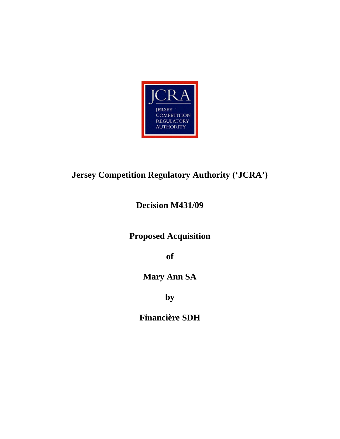

# **Jersey Competition Regulatory Authority ('JCRA')**

**Decision M431/09** 

**Proposed Acquisition** 

**of** 

**Mary Ann SA** 

**by** 

**Financière SDH**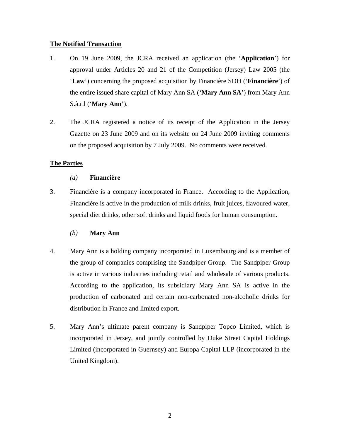## **The Notified Transaction**

- 1. On 19 June 2009, the JCRA received an application (the '**Application**') for approval under Articles 20 and 21 of the Competition (Jersey) Law 2005 (the '**Law**') concerning the proposed acquisition by Financière SDH ('**Financière**') of the entire issued share capital of Mary Ann SA ('**Mary Ann SA**') from Mary Ann S.à.r.l ('**Mary Ann'**).
- 2. The JCRA registered a notice of its receipt of the Application in the Jersey Gazette on 23 June 2009 and on its website on 24 June 2009 inviting comments on the proposed acquisition by 7 July 2009. No comments were received.

# **The Parties**

## *(a)* **Financière**

3. Financière is a company incorporated in France. According to the Application, Financière is active in the production of milk drinks, fruit juices, flavoured water, special diet drinks, other soft drinks and liquid foods for human consumption.

## *(b)* **Mary Ann**

- 4. Mary Ann is a holding company incorporated in Luxembourg and is a member of the group of companies comprising the Sandpiper Group. The Sandpiper Group is active in various industries including retail and wholesale of various products. According to the application, its subsidiary Mary Ann SA is active in the production of carbonated and certain non-carbonated non-alcoholic drinks for distribution in France and limited export.
- 5. Mary Ann's ultimate parent company is Sandpiper Topco Limited, which is incorporated in Jersey, and jointly controlled by Duke Street Capital Holdings Limited (incorporated in Guernsey) and Europa Capital LLP (incorporated in the United Kingdom).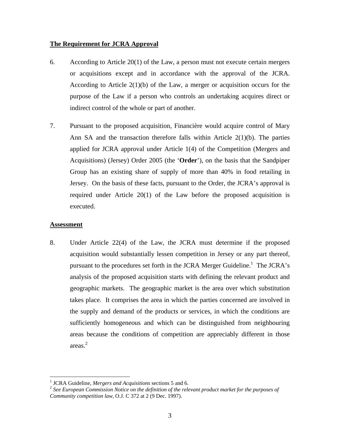#### **The Requirement for JCRA Approval**

- 6. According to Article 20(1) of the Law, a person must not execute certain mergers or acquisitions except and in accordance with the approval of the JCRA. According to Article  $2(1)(b)$  of the Law, a merger or acquisition occurs for the purpose of the Law if a person who controls an undertaking acquires direct or indirect control of the whole or part of another.
- 7. Pursuant to the proposed acquisition, Financière would acquire control of Mary Ann SA and the transaction therefore falls within Article  $2(1)(b)$ . The parties applied for JCRA approval under Article 1(4) of the Competition (Mergers and Acquisitions) (Jersey) Order 2005 (the '**Order**'), on the basis that the Sandpiper Group has an existing share of supply of more than 40% in food retailing in Jersey. On the basis of these facts, pursuant to the Order, the JCRA's approval is required under Article 20(1) of the Law before the proposed acquisition is executed.

## **Assessment**

 $\overline{a}$ 

8. Under Article 22(4) of the Law, the JCRA must determine if the proposed acquisition would substantially lessen competition in Jersey or any part thereof, pursuant to the procedures set forth in the JCRA Merger Guideline.<sup>1</sup> The JCRA's analysis of the proposed acquisition starts with defining the relevant product and geographic markets. The geographic market is the area over which substitution takes place. It comprises the area in which the parties concerned are involved in the supply and demand of the products or services, in which the conditions are sufficiently homogeneous and which can be distinguished from neighbouring areas because the conditions of competition are appreciably different in those areas. 2

<sup>&</sup>lt;sup>1</sup> JCRA Guideline, *Mergers and Acquisitions* sections 5 and 6.

<sup>&</sup>lt;sup>2</sup> See European Commission Notice on the definition of the relevant product market for the purposes of *Community competition law*, O.J. C 372 at 2 (9 Dec. 1997).